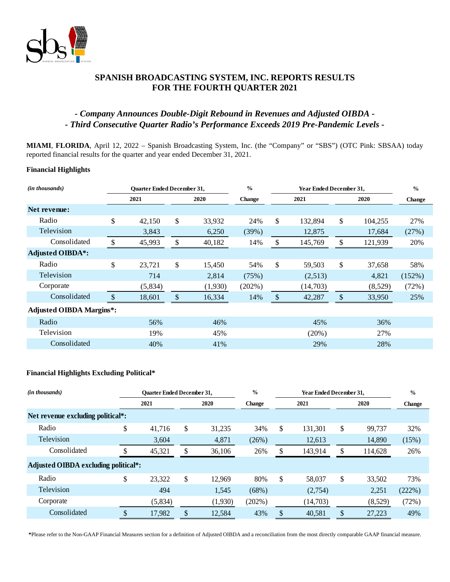

# **SPANISH BROADCASTING SYSTEM, INC. REPORTS RESULTS FOR THE FOURTH QUARTER 2021**

# *- Company Announces Double-Digit Rebound in Revenues and Adjusted OIBDA - - Third Consecutive Quarter Radio's Performance Exceeds 2019 Pre-Pandemic Levels -*

**MIAMI**, **FLORIDA**, April 12, 2022 – Spanish Broadcasting System, Inc. (the "Company" or "SBS") (OTC Pink: SBSAA) today reported financial results for the quarter and year ended December 31, 2021.

## **Financial Highlights**

| ( <i>in thousands</i> )         | <b>Ouarter Ended December 31,</b> |         | $\frac{0}{0}$<br>Year Ended December 31, |                       |    |          |    | $\frac{0}{0}$ |        |
|---------------------------------|-----------------------------------|---------|------------------------------------------|-----------------------|----|----------|----|---------------|--------|
|                                 |                                   | 2021    | 2020                                     | 2021<br><b>Change</b> |    | 2020     |    | <b>Change</b> |        |
| Net revenue:                    |                                   |         |                                          |                       |    |          |    |               |        |
| Radio                           | \$                                | 42,150  | \$<br>33,932                             | 24%                   | \$ | 132,894  | \$ | 104,255       | 27%    |
| Television                      |                                   | 3,843   | 6,250                                    | (39%)                 |    | 12,875   |    | 17,684        | (27%)  |
| Consolidated                    | \$                                | 45,993  | \$<br>40,182                             | 14%                   | \$ | 145,769  | \$ | 121,939       | 20%    |
| <b>Adjusted OIBDA*:</b>         |                                   |         |                                          |                       |    |          |    |               |        |
| Radio                           | \$                                | 23,721  | \$<br>15,450                             | 54%                   | \$ | 59,503   | \$ | 37,658        | 58%    |
| Television                      |                                   | 714     | 2,814                                    | (75%)                 |    | (2,513)  |    | 4,821         | (152%) |
| Corporate                       |                                   | (5,834) | (1,930)                                  | (202%)                |    | (14,703) |    | (8,529)       | (72%)  |
| Consolidated                    | $\boldsymbol{\mathsf{S}}$         | 18,601  | \$<br>16,334                             | 14%                   | \$ | 42,287   | \$ | 33,950        | 25%    |
| <b>Adjusted OIBDA Margins*:</b> |                                   |         |                                          |                       |    |          |    |               |        |
| Radio                           |                                   | 56%     | 46%                                      |                       |    | 45%      |    | 36%           |        |
| Television                      |                                   | 19%     | 45%                                      |                       |    | (20%)    |    | 27%           |        |
| Consolidated                    |                                   | 40%     | 41%                                      |                       |    | 29%      |    | 28%           |        |

#### **Financial Highlights Excluding Political\***

| (in thousands)                       | <b>Ouarter Ended December 31,</b> |         | $\frac{0}{0}$ |         |               | <b>Year Ended December 31,</b> |          | $\frac{0}{0}$ |         |               |
|--------------------------------------|-----------------------------------|---------|---------------|---------|---------------|--------------------------------|----------|---------------|---------|---------------|
|                                      |                                   | 2021    |               | 2020    | <b>Change</b> |                                | 2021     |               | 2020    | <b>Change</b> |
| Net revenue excluding political*:    |                                   |         |               |         |               |                                |          |               |         |               |
| Radio                                | \$                                | 41,716  | \$            | 31,235  | 34%           | \$                             | 131,301  | \$            | 99,737  | 32%           |
| <b>Television</b>                    |                                   | 3,604   |               | 4,871   | (26%)         |                                | 12,613   |               | 14,890  | (15%)         |
| Consolidated                         |                                   | 45,321  |               | 36,106  | 26%           | ъ.                             | 143,914  | S             | 114,628 | 26%           |
| Adjusted OIBDA excluding political*: |                                   |         |               |         |               |                                |          |               |         |               |
| Radio                                | \$                                | 23,322  | \$            | 12,969  | 80%           | \$                             | 58,037   | \$            | 33,502  | 73%           |
| <b>Television</b>                    |                                   | 494     |               | 1,545   | (68%)         |                                | (2,754)  |               | 2,251   | (222%)        |
| Corporate                            |                                   | (5,834) |               | (1,930) | $(202\%)$     |                                | (14,703) |               | (8,529) | (72%)         |
| Consolidated                         |                                   | 17,982  | ᡧ             | 12,584  | 43%           |                                | 40,581   |               | 27,223  | 49%           |

**\***Please refer to the Non-GAAP Financial Measures section for a definition of Adjusted OIBDA and a reconciliation from the most directly comparable GAAP financial measure.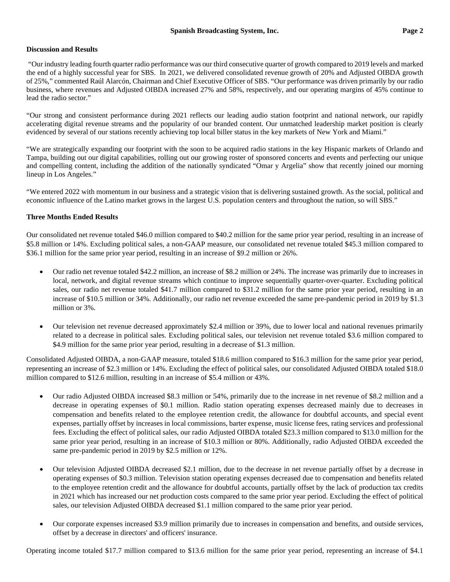### **Discussion and Results**

"Our industry leading fourth quarter radio performance was our third consecutive quarter of growth compared to 2019 levels and marked the end of a highly successful year for SBS. In 2021, we delivered consolidated revenue growth of 20% and Adjusted OIBDA growth of 25%," commented Raúl Alarcón, Chairman and Chief Executive Officer of SBS. "Our performance was driven primarily by our radio business, where revenues and Adjusted OIBDA increased 27% and 58%, respectively, and our operating margins of 45% continue to lead the radio sector."

"Our strong and consistent performance during 2021 reflects our leading audio station footprint and national network, our rapidly accelerating digital revenue streams and the popularity of our branded content. Our unmatched leadership market position is clearly evidenced by several of our stations recently achieving top local biller status in the key markets of New York and Miami."

"We are strategically expanding our footprint with the soon to be acquired radio stations in the key Hispanic markets of Orlando and Tampa, building out our digital capabilities, rolling out our growing roster of sponsored concerts and events and perfecting our unique and compelling content, including the addition of the nationally syndicated "Omar y Argelia" show that recently joined our morning lineup in Los Angeles."

"We entered 2022 with momentum in our business and a strategic vision that is delivering sustained growth. As the social, political and economic influence of the Latino market grows in the largest U.S. population centers and throughout the nation, so will SBS."

## **Three Months Ended Results**

Our consolidated net revenue totaled \$46.0 million compared to \$40.2 million for the same prior year period, resulting in an increase of \$5.8 million or 14%. Excluding political sales, a non-GAAP measure, our consolidated net revenue totaled \$45.3 million compared to \$36.1 million for the same prior year period, resulting in an increase of \$9.2 million or 26%.

- Our radio net revenue totaled \$42.2 million, an increase of \$8.2 million or 24%. The increase was primarily due to increases in local, network, and digital revenue streams which continue to improve sequentially quarter-over-quarter. Excluding political sales, our radio net revenue totaled \$41.7 million compared to \$31.2 million for the same prior year period, resulting in an increase of \$10.5 million or 34%. Additionally, our radio net revenue exceeded the same pre-pandemic period in 2019 by \$1.3 million or 3%.
- Our television net revenue decreased approximately \$2.4 million or 39%, due to lower local and national revenues primarily related to a decrease in political sales. Excluding political sales, our television net revenue totaled \$3.6 million compared to \$4.9 million for the same prior year period, resulting in a decrease of \$1.3 million.

Consolidated Adjusted OIBDA, a non-GAAP measure, totaled \$18.6 million compared to \$16.3 million for the same prior year period, representing an increase of \$2.3 million or 14%. Excluding the effect of political sales, our consolidated Adjusted OIBDA totaled \$18.0 million compared to \$12.6 million, resulting in an increase of \$5.4 million or 43%.

- Our radio Adjusted OIBDA increased \$8.3 million or 54%, primarily due to the increase in net revenue of \$8.2 million and a decrease in operating expenses of \$0.1 million. Radio station operating expenses decreased mainly due to decreases in compensation and benefits related to the employee retention credit, the allowance for doubtful accounts, and special event expenses, partially offset by increases in local commissions, barter expense, music license fees, rating services and professional fees. Excluding the effect of political sales, our radio Adjusted OIBDA totaled \$23.3 million compared to \$13.0 million for the same prior year period, resulting in an increase of \$10.3 million or 80%. Additionally, radio Adjusted OIBDA exceeded the same pre-pandemic period in 2019 by \$2.5 million or 12%.
- Our television Adjusted OIBDA decreased \$2.1 million, due to the decrease in net revenue partially offset by a decrease in operating expenses of \$0.3 million. Television station operating expenses decreased due to compensation and benefits related to the employee retention credit and the allowance for doubtful accounts, partially offset by the lack of production tax credits in 2021 which has increased our net production costs compared to the same prior year period. Excluding the effect of political sales, our television Adjusted OIBDA decreased \$1.1 million compared to the same prior year period.
- Our corporate expenses increased \$3.9 million primarily due to increases in compensation and benefits, and outside services, offset by a decrease in directors' and officers' insurance.

Operating income totaled \$17.7 million compared to \$13.6 million for the same prior year period, representing an increase of \$4.1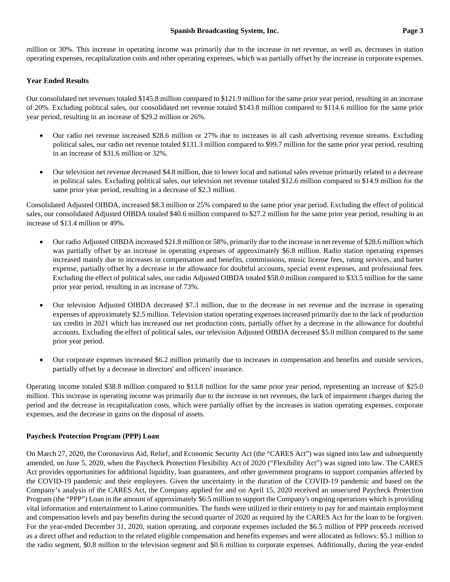million or 30%. This increase in operating income was primarily due to the increase in net revenue, as well as, decreases in station operating expenses, recapitalization costs and other operating expenses, which was partially offset by the increase in corporate expenses.

## **Year Ended Results**

Our consolidated net revenues totaled \$145.8 million compared to \$121.9 million for the same prior year period, resulting in an increase of 20%. Excluding political sales, our consolidated net revenue totaled \$143.8 million compared to \$114.6 million for the same prior year period, resulting in an increase of \$29.2 million or 26%.

- Our radio net revenue increased \$28.6 million or 27% due to increases in all cash advertising revenue streams. Excluding political sales, our radio net revenue totaled \$131.3 million compared to \$99.7 million for the same prior year period, resulting in an increase of \$31.6 million or 32%.
- Our television net revenue decreased \$4.8 million, due to lower local and national sales revenue primarily related to a decrease in political sales. Excluding political sales, our television net revenue totaled \$12.6 million compared to \$14.9 million for the same prior year period, resulting in a decrease of \$2.3 million.

Consolidated Adjusted OIBDA, increased \$8.3 million or 25% compared to the same prior year period. Excluding the effect of political sales, our consolidated Adjusted OIBDA totaled \$40.6 million compared to \$27.2 million for the same prior year period, resulting in an increase of \$13.4 million or 49%.

- Our radio Adjusted OIBDA increased \$21.8 million or 58%, primarily due to the increase in net revenue of \$28.6 million which was partially offset by an increase in operating expenses of approximately \$6.8 million. Radio station operating expenses increased mainly due to increases in compensation and benefits, commissions, music license fees, rating services, and barter expense, partially offset by a decrease in the allowance for doubtful accounts, special event expenses, and professional fees. Excluding the effect of political sales, our radio Adjusted OIBDA totaled \$58.0 million compared to \$33.5 million for the same prior year period, resulting in an increase of 73%.
- Our television Adjusted OIBDA decreased \$7.3 million, due to the decrease in net revenue and the increase in operating expenses of approximately \$2.5 million. Television station operating expenses increased primarily due to the lack of production tax credits in 2021 which has increased our net production costs, partially offset by a decrease in the allowance for doubtful accounts. Excluding the effect of political sales, our television Adjusted OIBDA decreased \$5.0 million compared to the same prior year period.
- Our corporate expenses increased \$6.2 million primarily due to increases in compensation and benefits and outside services, partially offset by a decrease in directors' and officers' insurance.

Operating income totaled \$38.8 million compared to \$13.8 million for the same prior year period, representing an increase of \$25.0 million. This increase in operating income was primarily due to the increase in net revenues, the lack of impairment charges during the period and the decrease in recapitalization costs, which were partially offset by the increases in station operating expenses, corporate expenses, and the decrease in gains on the disposal of assets.

#### **Paycheck Protection Program (PPP) Loan**

On March 27, 2020, the Coronavirus Aid, Relief, and Economic Security Act (the "CARES Act") was signed into law and subsequently amended, on June 5, 2020, when the Paycheck Protection Flexibility Act of 2020 ("Flexibility Act") was signed into law. The CARES Act provides opportunities for additional liquidity, loan guarantees, and other government programs to support companies affected by the COVID-19 pandemic and their employees. Given the uncertainty in the duration of the COVID-19 pandemic and based on the Company's analysis of the CARES Act, the Company applied for and on April 15, 2020 received an unsecured Paycheck Protection Program (the "PPP") Loan in the amount of approximately \$6.5 million to support the Company's ongoing operations which is providing vital information and entertainment to Latino communities. The funds were utilized in their entirety to pay for and maintain employment and compensation levels and pay benefits during the second quarter of 2020 as required by the CARES Act for the loan to be forgiven. For the year-ended December 31, 2020, station operating, and corporate expenses included the \$6.5 million of PPP proceeds received as a direct offset and reduction to the related eligible compensation and benefits expenses and were allocated as follows: \$5.1 million to the radio segment, \$0.8 million to the television segment and \$0.6 million to corporate expenses. Additionally, during the year-ended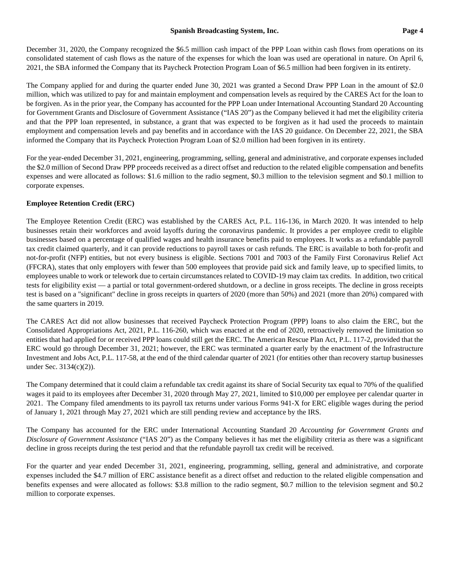### **Spanish Broadcasting System, Inc. Page 4**

December 31, 2020, the Company recognized the \$6.5 million cash impact of the PPP Loan within cash flows from operations on its consolidated statement of cash flows as the nature of the expenses for which the loan was used are operational in nature. On April 6, 2021, the SBA informed the Company that its Paycheck Protection Program Loan of \$6.5 million had been forgiven in its entirety.

The Company applied for and during the quarter ended June 30, 2021 was granted a Second Draw PPP Loan in the amount of \$2.0 million, which was utilized to pay for and maintain employment and compensation levels as required by the CARES Act for the loan to be forgiven. As in the prior year, the Company has accounted for the PPP Loan under International Accounting Standard 20 Accounting for Government Grants and Disclosure of Government Assistance ("IAS 20") as the Company believed it had met the eligibility criteria and that the PPP loan represented, in substance, a grant that was expected to be forgiven as it had used the proceeds to maintain employment and compensation levels and pay benefits and in accordance with the IAS 20 guidance. On December 22, 2021, the SBA informed the Company that its Paycheck Protection Program Loan of \$2.0 million had been forgiven in its entirety.

For the year-ended December 31, 2021, engineering, programming, selling, general and administrative, and corporate expenses included the \$2.0 million of Second Draw PPP proceeds received as a direct offset and reduction to the related eligible compensation and benefits expenses and were allocated as follows: \$1.6 million to the radio segment, \$0.3 million to the television segment and \$0.1 million to corporate expenses.

# **Employee Retention Credit (ERC)**

The Employee Retention Credit (ERC) was established by the CARES Act, P.L. 116-136, in March 2020. It was intended to help businesses retain their workforces and avoid layoffs during the coronavirus pandemic. It provides a per employee credit to eligible businesses based on a percentage of qualified wages and health insurance benefits paid to employees. It works as a refundable payroll tax credit claimed quarterly, and it can provide reductions to payroll taxes or cash refunds. The ERC is available to both for-profit and not-for-profit (NFP) entities, but not every business is eligible. Sections 7001 and 7003 of the Family First Coronavirus Relief Act (FFCRA), states that only employers with fewer than 500 employees that provide paid sick and family leave, up to specified limits, to employees unable to work or telework due to certain circumstances related to COVID-19 may claim tax credits. In addition, two critical tests for eligibility exist — a partial or total government-ordered shutdown, or a decline in gross receipts. The decline in gross receipts test is based on a "significant" decline in gross receipts in quarters of 2020 (more than 50%) and 2021 (more than 20%) compared with the same quarters in 2019.

The CARES Act did not allow businesses that received Paycheck Protection Program (PPP) loans to also claim the ERC, but the Consolidated Appropriations Act, 2021, P.L. 116-260, which was enacted at the end of 2020, retroactively removed the limitation so entities that had applied for or received PPP loans could still get the ERC. The American Rescue Plan Act, P.L. 117-2, provided that the ERC would go through December 31, 2021; however, the ERC was terminated a quarter early by the enactment of the Infrastructure Investment and Jobs Act, P.L. 117-58, at the end of the third calendar quarter of 2021 (for entities other than recovery startup businesses under Sec. 3134(c)(2)).

The Company determined that it could claim a refundable tax credit against its share of Social Security tax equal to 70% of the qualified wages it paid to its employees after December 31, 2020 through May 27, 2021, limited to \$10,000 per employee per calendar quarter in 2021. The Company filed amendments to its payroll tax returns under various Forms 941-X for ERC eligible wages during the period of January 1, 2021 through May 27, 2021 which are still pending review and acceptance by the IRS.

The Company has accounted for the ERC under International Accounting Standard 20 *Accounting for Government Grants and Disclosure of Government Assistance* ("IAS 20") as the Company believes it has met the eligibility criteria as there was a significant decline in gross receipts during the test period and that the refundable payroll tax credit will be received.

For the quarter and year ended December 31, 2021, engineering, programming, selling, general and administrative, and corporate expenses included the \$4.7 million of ERC assistance benefit as a direct offset and reduction to the related eligible compensation and benefits expenses and were allocated as follows: \$3.8 million to the radio segment, \$0.7 million to the television segment and \$0.2 million to corporate expenses.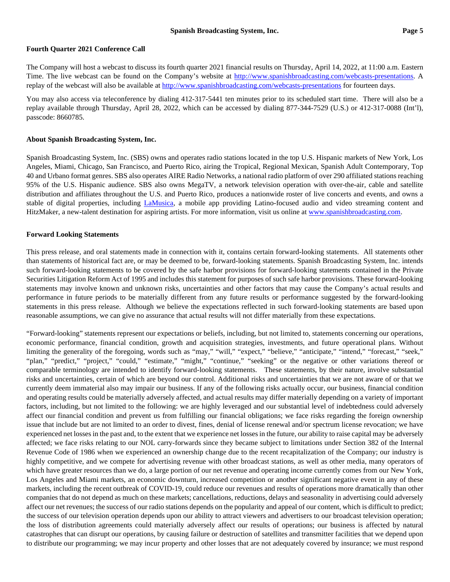#### **Fourth Quarter 2021 Conference Call**

The Company will host a webcast to discuss its fourth quarter 2021 financial results on Thursday, April 14, 2022, at 11:00 a.m. Eastern Time. The live webcast can be found on the Company's website at [http://www.spanishbroadcasting.com/webcasts-presentations.](http://www.spanishbroadcasting.com/webcasts-presentations) A replay of the webcast will also be available a[t http://www.spanishbroadcasting.com/webcasts-presentations](http://www.spanishbroadcasting.com/webcasts-presentations) for fourteen days.

You may also access via teleconference by dialing 412-317-5441 ten minutes prior to its scheduled start time. There will also be a replay available through Thursday, April 28, 2022, which can be accessed by dialing 877-344-7529 (U.S.) or 412-317-0088 (Int'l), passcode: 8660785.

#### **About Spanish Broadcasting System, Inc.**

Spanish Broadcasting System, Inc. (SBS) owns and operates radio stations located in the top U.S. Hispanic markets of New York, Los Angeles, Miami, Chicago, San Francisco, and Puerto Rico, airing the Tropical, Regional Mexican, Spanish Adult Contemporary, Top 40 and Urbano format genres. SBS also operates AIRE Radio Networks, a national radio platform of over 290 affiliated stations reaching 95% of the U.S. Hispanic audience. SBS also owns MegaTV, a network television operation with over-the-air, cable and satellite distribution and affiliates throughout the U.S. and Puerto Rico, produces a nationwide roster of live concerts and events, and owns a stable of digital properties, including [LaMusica,](http://www.lamusica.com/) a mobile app providing Latino-focused audio and video streaming content and HitzMaker, a new-talent destination for aspiring artists. For more information, visit us online at [www.spanishbroadcasting.com.](http://www.spanishbroadcasting.com/)

#### **Forward Looking Statements**

This press release, and oral statements made in connection with it, contains certain forward-looking statements. All statements other than statements of historical fact are, or may be deemed to be, forward-looking statements. Spanish Broadcasting System, Inc. intends such forward-looking statements to be covered by the safe harbor provisions for forward-looking statements contained in the Private Securities Litigation Reform Act of 1995 and includes this statement for purposes of such safe harbor provisions. These forward-looking statements may involve known and unknown risks, uncertainties and other factors that may cause the Company's actual results and performance in future periods to be materially different from any future results or performance suggested by the forward-looking statements in this press release. Although we believe the expectations reflected in such forward-looking statements are based upon reasonable assumptions, we can give no assurance that actual results will not differ materially from these expectations.

"Forward-looking" statements represent our expectations or beliefs, including, but not limited to, statements concerning our operations, economic performance, financial condition, growth and acquisition strategies, investments, and future operational plans. Without limiting the generality of the foregoing, words such as "may," "will," "expect," "believe," "anticipate," "intend," "forecast," "seek," "plan," "predict," "project," "could," "estimate," "might," "continue," "seeking" or the negative or other variations thereof or comparable terminology are intended to identify forward-looking statements. These statements, by their nature, involve substantial risks and uncertainties, certain of which are beyond our control. Additional risks and uncertainties that we are not aware of or that we currently deem immaterial also may impair our business. If any of the following risks actually occur, our business, financial condition and operating results could be materially adversely affected, and actual results may differ materially depending on a variety of important factors, including, but not limited to the following: we are highly leveraged and our substantial level of indebtedness could adversely affect our financial condition and prevent us from fulfilling our financial obligations; we face risks regarding the foreign ownership issue that include but are not limited to an order to divest, fines, denial of license renewal and/or spectrum license revocation; we have experienced net losses in the past and, to the extent that we experience net losses in the future, our ability to raise capital may be adversely affected; we face risks relating to our NOL carry-forwards since they became subject to limitations under Section 382 of the Internal Revenue Code of 1986 when we experienced an ownership change due to the recent recapitalization of the Company; our industry is highly competitive, and we compete for advertising revenue with other broadcast stations, as well as other media, many operators of which have greater resources than we do, a large portion of our net revenue and operating income currently comes from our New York, Los Angeles and Miami markets, an economic downturn, increased competition or another significant negative event in any of these markets, including the recent outbreak of COVID-19, could reduce our revenues and results of operations more dramatically than other companies that do not depend as much on these markets; cancellations, reductions, delays and seasonality in advertising could adversely affect our net revenues; the success of our radio stations depends on the popularity and appeal of our content, which is difficult to predict; the success of our television operation depends upon our ability to attract viewers and advertisers to our broadcast television operation; the loss of distribution agreements could materially adversely affect our results of operations; our business is affected by natural catastrophes that can disrupt our operations, by causing failure or destruction of satellites and transmitter facilities that we depend upon to distribute our programming; we may incur property and other losses that are not adequately covered by insurance; we must respond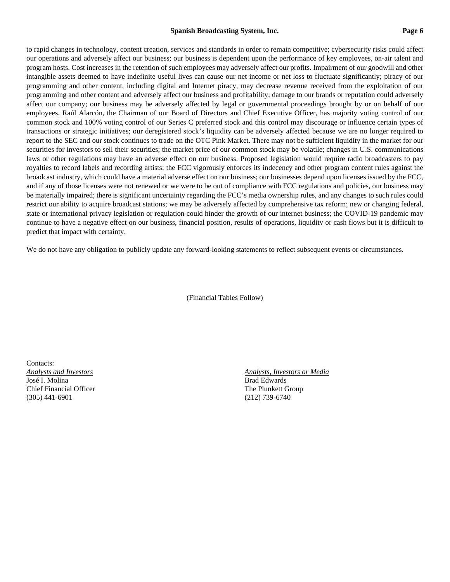#### **Spanish Broadcasting System, Inc. Page 6**

to rapid changes in technology, content creation, services and standards in order to remain competitive; cybersecurity risks could affect our operations and adversely affect our business; our business is dependent upon the performance of key employees, on-air talent and program hosts. Cost increases in the retention of such employees may adversely affect our profits. Impairment of our goodwill and other intangible assets deemed to have indefinite useful lives can cause our net income or net loss to fluctuate significantly; piracy of our programming and other content, including digital and Internet piracy, may decrease revenue received from the exploitation of our programming and other content and adversely affect our business and profitability; damage to our brands or reputation could adversely affect our company; our business may be adversely affected by legal or governmental proceedings brought by or on behalf of our employees. Raúl Alarcón, the Chairman of our Board of Directors and Chief Executive Officer, has majority voting control of our common stock and 100% voting control of our Series C preferred stock and this control may discourage or influence certain types of transactions or strategic initiatives; our deregistered stock's liquidity can be adversely affected because we are no longer required to report to the SEC and our stock continues to trade on the OTC Pink Market. There may not be sufficient liquidity in the market for our securities for investors to sell their securities; the market price of our common stock may be volatile; changes in U.S. communications laws or other regulations may have an adverse effect on our business. Proposed legislation would require radio broadcasters to pay royalties to record labels and recording artists; the FCC vigorously enforces its indecency and other program content rules against the broadcast industry, which could have a material adverse effect on our business; our businesses depend upon licenses issued by the FCC, and if any of those licenses were not renewed or we were to be out of compliance with FCC regulations and policies, our business may be materially impaired; there is significant uncertainty regarding the FCC's media ownership rules, and any changes to such rules could restrict our ability to acquire broadcast stations; we may be adversely affected by comprehensive tax reform; new or changing federal, state or international privacy legislation or regulation could hinder the growth of our internet business; the COVID-19 pandemic may continue to have a negative effect on our business, financial position, results of operations, liquidity or cash flows but it is difficult to predict that impact with certainty.

We do not have any obligation to publicly update any forward-looking statements to reflect subsequent events or circumstances.

(Financial Tables Follow)

Contacts: *Analysts and Investors Analysts, Investors or Media* José I. Molina Brad Edwards (Brad Edwards and Brad Edwards Brad Edwards and Brad Edwards and Brad Edwards and Brad Edwards and Brad Edwards (Brad Edwards and Brad Edwards and Brad Edwards and Brad Edwards and Brad Edwards Chief Financial Officer The Plunkett Group (305) 441-6901 (212) 739-6740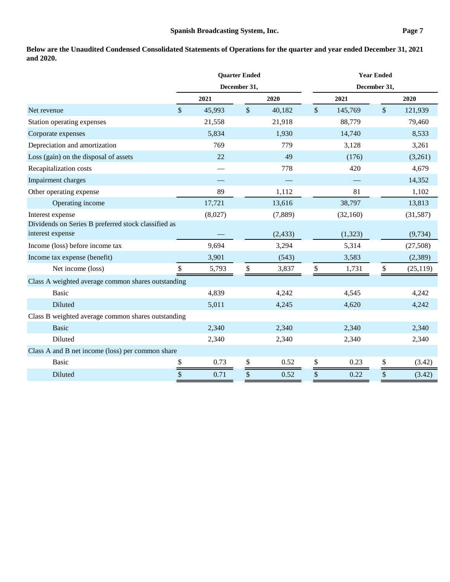**Below are the Unaudited Condensed Consolidated Statements of Operations for the quarter and year ended December 31, 2021 and 2020.**

|                                                                         |    | <b>Quarter Ended</b><br>December 31, |             |          |      | <b>Year Ended</b> |             |           |  |  |
|-------------------------------------------------------------------------|----|--------------------------------------|-------------|----------|------|-------------------|-------------|-----------|--|--|
|                                                                         |    |                                      |             |          |      | December 31,      |             |           |  |  |
|                                                                         |    | 2021                                 | 2020        |          | 2021 |                   | 2020        |           |  |  |
| Net revenue                                                             | \$ | 45,993                               | $\sqrt{\ }$ | 40,182   | \$   | 145,769           | $\sqrt{\ }$ | 121,939   |  |  |
| Station operating expenses                                              |    | 21,558                               |             | 21,918   |      | 88,779            |             | 79,460    |  |  |
| Corporate expenses                                                      |    | 5,834                                |             | 1,930    |      | 14,740            |             | 8,533     |  |  |
| Depreciation and amortization                                           |    | 769                                  |             | 779      |      | 3,128             |             | 3,261     |  |  |
| Loss (gain) on the disposal of assets                                   |    | 22                                   |             | 49       |      | (176)             |             | (3,261)   |  |  |
| Recapitalization costs                                                  |    |                                      |             | 778      |      | 420               |             | 4,679     |  |  |
| Impairment charges                                                      |    |                                      |             |          |      |                   |             | 14,352    |  |  |
| Other operating expense                                                 |    | 89                                   |             | 1,112    |      | 81                |             | 1,102     |  |  |
| Operating income                                                        |    | 17,721                               |             | 13,616   |      | 38,797            |             | 13,813    |  |  |
| Interest expense                                                        |    | (8,027)                              |             | (7,889)  |      | (32,160)          |             | (31,587)  |  |  |
| Dividends on Series B preferred stock classified as<br>interest expense |    |                                      |             | (2, 433) |      | (1,323)           |             | (9, 734)  |  |  |
| Income (loss) before income tax                                         |    | 9,694                                |             | 3,294    |      | 5,314             |             | (27,508)  |  |  |
| Income tax expense (benefit)                                            |    | 3,901                                |             | (543)    |      | 3,583             |             | (2,389)   |  |  |
| Net income (loss)                                                       | \$ | 5,793                                | \$          | 3,837    | \$   | 1,731             | \$          | (25, 119) |  |  |
| Class A weighted average common shares outstanding                      |    |                                      |             |          |      |                   |             |           |  |  |
| <b>Basic</b>                                                            |    | 4,839                                |             | 4,242    |      | 4,545             |             | 4,242     |  |  |
| Diluted                                                                 |    | 5,011                                |             | 4,245    |      | 4,620             |             | 4,242     |  |  |
| Class B weighted average common shares outstanding                      |    |                                      |             |          |      |                   |             |           |  |  |
| <b>Basic</b>                                                            |    | 2,340                                |             | 2,340    |      | 2,340             |             | 2,340     |  |  |
| Diluted                                                                 |    | 2,340                                |             | 2,340    |      | 2,340             |             | 2,340     |  |  |
| Class A and B net income (loss) per common share                        |    |                                      |             |          |      |                   |             |           |  |  |
| <b>Basic</b>                                                            | \$ | 0.73                                 | $\$$        | 0.52     | \$   | 0.23              | \$          | (3.42)    |  |  |
| Diluted                                                                 | \$ | 0.71                                 | \$          | 0.52     | \$   | 0.22              | \$          | (3.42)    |  |  |
|                                                                         |    |                                      |             |          |      |                   |             |           |  |  |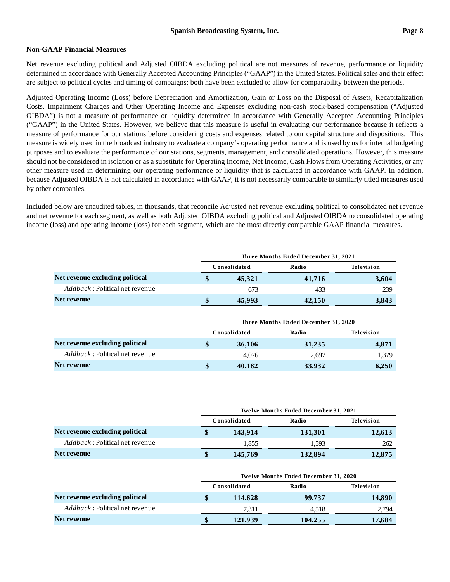### **Non-GAAP Financial Measures**

Net revenue excluding political and Adjusted OIBDA excluding political are not measures of revenue, performance or liquidity determined in accordance with Generally Accepted Accounting Principles ("GAAP") in the United States. Political sales and their effect are subject to political cycles and timing of campaigns; both have been excluded to allow for comparability between the periods.

Adjusted Operating Income (Loss) before Depreciation and Amortization, Gain or Loss on the Disposal of Assets, Recapitalization Costs, Impairment Charges and Other Operating Income and Expenses excluding non-cash stock-based compensation ("Adjusted OIBDA") is not a measure of performance or liquidity determined in accordance with Generally Accepted Accounting Principles ("GAAP") in the United States. However, we believe that this measure is useful in evaluating our performance because it reflects a measure of performance for our stations before considering costs and expenses related to our capital structure and dispositions. This measure is widely used in the broadcast industry to evaluate a company's operating performance and is used by us for internal budgeting purposes and to evaluate the performance of our stations, segments, management, and consolidated operations. However, this measure should not be considered in isolation or as a substitute for Operating Income, Net Income, Cash Flows from Operating Activities, or any other measure used in determining our operating performance or liquidity that is calculated in accordance with GAAP. In addition, because Adjusted OIBDA is not calculated in accordance with GAAP, it is not necessarily comparable to similarly titled measures used by other companies.

Included below are unaudited tables, in thousands, that reconcile Adjusted net revenue excluding political to consolidated net revenue and net revenue for each segment, as well as both Adjusted OIBDA excluding political and Adjusted OIBDA to consolidated operating income (loss) and operating income (loss) for each segment, which are the most directly comparable GAAP financial measures.

|                                        | Three Months Ended December 31, 2021 |              |                                      |                   |  |  |  |  |  |
|----------------------------------------|--------------------------------------|--------------|--------------------------------------|-------------------|--|--|--|--|--|
|                                        |                                      | Consolidated | Radio                                | <b>Television</b> |  |  |  |  |  |
| Net revenue excluding political        | \$                                   | 45,321       | 41,716                               | 3,604             |  |  |  |  |  |
| <i>Addback</i> : Political net revenue |                                      | 673          | 433                                  | 239               |  |  |  |  |  |
| Net revenue                            |                                      | 45,993       | 42,150                               | 3,843             |  |  |  |  |  |
|                                        |                                      |              | Three Months Ended December 31, 2020 |                   |  |  |  |  |  |
|                                        |                                      |              |                                      |                   |  |  |  |  |  |
|                                        |                                      | Consolidated | Radio                                | <b>Television</b> |  |  |  |  |  |
| Net revenue excluding political        | \$                                   | 36,106       | 31,235                               | 4,871             |  |  |  |  |  |
| <i>Addback</i> : Political net revenue |                                      | 4.076        | 2,697                                | 1,379             |  |  |  |  |  |
| <b>Net revenue</b>                     | \$                                   | 40,182       | 33,932                               | 6,250             |  |  |  |  |  |

|                                        | <b>Twelve Months Ended December 31, 2021</b> |         |            |  |  |  |  |  |  |
|----------------------------------------|----------------------------------------------|---------|------------|--|--|--|--|--|--|
|                                        | Consolidated                                 | Radio   | Television |  |  |  |  |  |  |
| Net revenue excluding political        | 143.914                                      | 131,301 | 12,613     |  |  |  |  |  |  |
| <i>Addback</i> : Political net revenue | 1.855                                        | 1.593   | 262        |  |  |  |  |  |  |
| <b>Net revenue</b>                     | 145,769                                      | 132,894 | 12,875     |  |  |  |  |  |  |

|                                        | <b>Twelve Months Ended December 31, 2020</b> |         |            |  |  |  |  |  |  |
|----------------------------------------|----------------------------------------------|---------|------------|--|--|--|--|--|--|
|                                        | Consolidated                                 | Radio   | Television |  |  |  |  |  |  |
| Net revenue excluding political        | 114,628                                      | 99,737  | 14,890     |  |  |  |  |  |  |
| <i>Addback</i> : Political net revenue | 7.311                                        | 4.518   | 2,794      |  |  |  |  |  |  |
| Net revenue                            | 121,939                                      | 104,255 | 17,684     |  |  |  |  |  |  |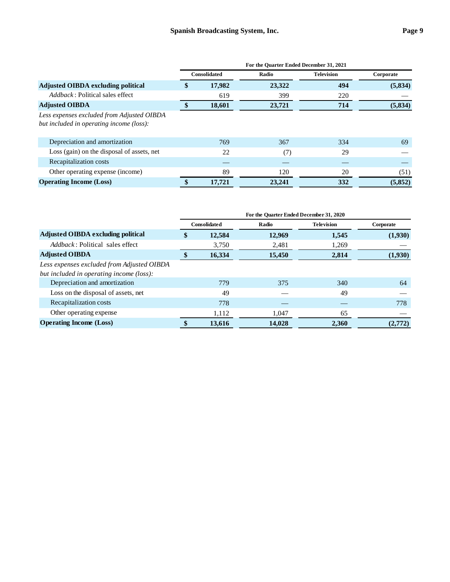|                                                                                        | For the Quarter Ended December 31, 2021 |                     |        |                   |           |  |  |  |
|----------------------------------------------------------------------------------------|-----------------------------------------|---------------------|--------|-------------------|-----------|--|--|--|
|                                                                                        |                                         | <b>Consolidated</b> | Radio  | <b>Television</b> | Corporate |  |  |  |
| <b>Adjusted OIBDA excluding political</b>                                              | \$                                      | 17,982              | 23,322 | 494               | (5, 834)  |  |  |  |
| <i>Addback</i> : Political sales effect                                                |                                         | 619                 | 399    | 220               |           |  |  |  |
| <b>Adjusted OIBDA</b>                                                                  |                                         | 18,601              | 23,721 | 714               | (5, 834)  |  |  |  |
| Less expenses excluded from Adjusted OIBDA<br>but included in operating income (loss): |                                         |                     |        |                   |           |  |  |  |
| Depreciation and amortization                                                          |                                         | 769                 | 367    | 334               | 69        |  |  |  |
| Loss (gain) on the disposal of assets, net                                             |                                         | 22                  | (7)    | 29                |           |  |  |  |
| Recapitalization costs                                                                 |                                         |                     |        |                   |           |  |  |  |
| Other operating expense (income)                                                       |                                         | 89                  | 120    | 20                | (51)      |  |  |  |
| <b>Operating Income (Loss)</b>                                                         |                                         | 17.721              | 23,241 | 332               | (5,852)   |  |  |  |

|                                            | For the Quarter Ended December 31, 2020 |                     |        |                   |           |  |  |  |
|--------------------------------------------|-----------------------------------------|---------------------|--------|-------------------|-----------|--|--|--|
|                                            |                                         | <b>Consolidated</b> | Radio  | <b>Television</b> | Corporate |  |  |  |
| <b>Adjusted OIBDA excluding political</b>  | \$                                      | 12,584              | 12,969 | 1,545             | (1,930)   |  |  |  |
| <i>Addback</i> : Political sales effect    |                                         | 3,750               | 2,481  | 1,269             |           |  |  |  |
| <b>Adjusted OIBDA</b>                      | \$                                      | 16,334              | 15,450 | 2,814             | (1,930)   |  |  |  |
| Less expenses excluded from Adjusted OIBDA |                                         |                     |        |                   |           |  |  |  |
| but included in operating income (loss):   |                                         |                     |        |                   |           |  |  |  |
| Depreciation and amortization              |                                         | 779                 | 375    | 340               | 64        |  |  |  |
| Loss on the disposal of assets, net        |                                         | 49                  |        | 49                |           |  |  |  |
| Recapitalization costs                     |                                         | 778                 |        |                   | 778       |  |  |  |
| Other operating expense                    |                                         | 1,112               | 1.047  | 65                |           |  |  |  |
| <b>Operating Income (Loss)</b>             |                                         | 13.616              | 14.028 | 2.360             | (2,772)   |  |  |  |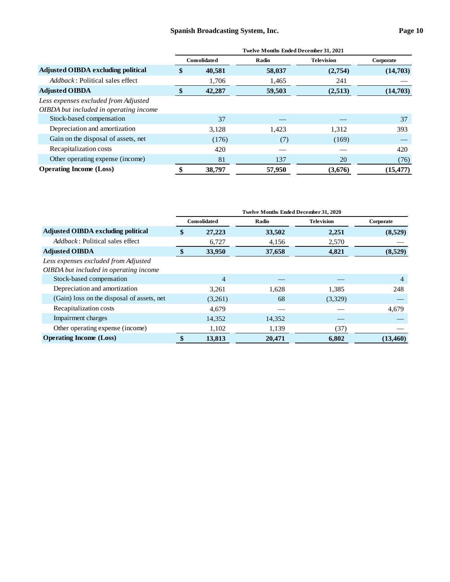|                                           | <b>Twelve Months Ended December 31, 2021</b> |        |        |                   |           |  |  |  |
|-------------------------------------------|----------------------------------------------|--------|--------|-------------------|-----------|--|--|--|
|                                           | <b>Consolidated</b>                          |        | Radio  | <b>Television</b> | Corporate |  |  |  |
| <b>Adjusted OIBDA excluding political</b> | \$                                           | 40,581 | 58,037 | (2,754)           | (14,703)  |  |  |  |
| <i>Addback</i> : Political sales effect   |                                              | 1,706  | 1,465  | 241               |           |  |  |  |
| <b>Adjusted OIBDA</b>                     | \$                                           | 42,287 | 59,503 | (2,513)           | (14,703)  |  |  |  |
| Less expenses excluded from Adjusted      |                                              |        |        |                   |           |  |  |  |
| OIBDA but included in operating income    |                                              |        |        |                   |           |  |  |  |
| Stock-based compensation                  |                                              | 37     |        |                   | 37        |  |  |  |
| Depreciation and amortization             |                                              | 3,128  | 1,423  | 1,312             | 393       |  |  |  |
| Gain on the disposal of assets, net       |                                              | (176)  | (7)    | (169)             |           |  |  |  |
| Recapitalization costs                    |                                              | 420    |        |                   | 420       |  |  |  |
| Other operating expense (income)          |                                              | 81     | 137    | 20                | (76)      |  |  |  |
| <b>Operating Income (Loss)</b>            | \$                                           | 38,797 | 57,950 | (3,676)           | (15, 477) |  |  |  |

|                                            | Twelve Months Ended December 31, 2020 |         |        |                   |           |  |  |  |
|--------------------------------------------|---------------------------------------|---------|--------|-------------------|-----------|--|--|--|
|                                            | <b>Consolidated</b>                   |         | Radio  | <b>Television</b> | Corporate |  |  |  |
| <b>Adjusted OIBDA excluding political</b>  | \$<br>27,223                          |         | 33,502 | 2,251             | (8,529)   |  |  |  |
| <i>Addback</i> : Political sales effect    |                                       | 6,727   | 4,156  | 2,570             |           |  |  |  |
| <b>Adjusted OIBDA</b>                      | \$                                    | 33,950  | 37,658 | 4,821             | (8,529)   |  |  |  |
| Less expenses excluded from Adjusted       |                                       |         |        |                   |           |  |  |  |
| OIBDA but included in operating income     |                                       |         |        |                   |           |  |  |  |
| Stock-based compensation                   |                                       | 4       |        |                   | 4         |  |  |  |
| Depreciation and amortization              |                                       | 3,261   | 1,628  | 1,385             | 248       |  |  |  |
| (Gain) loss on the disposal of assets, net |                                       | (3,261) | 68     | (3,329)           |           |  |  |  |
| Recapitalization costs                     |                                       | 4,679   |        |                   | 4,679     |  |  |  |
| Impairment charges                         |                                       | 14,352  | 14,352 |                   |           |  |  |  |
| Other operating expense (income)           |                                       | 1,102   | 1,139  | (37)              |           |  |  |  |
| <b>Operating Income (Loss)</b>             | \$                                    | 13,813  | 20,471 | 6.802             | (13, 460) |  |  |  |